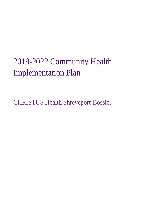# 2019-2022 Community Health Implementation Plan

CHRISTUS Health Shreveport-Bossier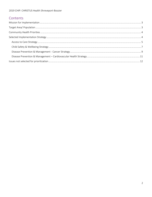# Contents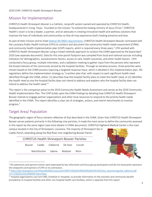# Mission for Implementation

CHRISTUS Health Shreveport-Bossier is a Catholic, nonprofit system owned and operated by CHRISTUS Health, headquartered in Irving, Texas. Founded on the mission "to extend the healing ministry of Jesus Christ," CHRISTUS Health's vision is to be a leader, a partner, and an advocate in creating innovative health and wellness solutions that improve the lives of individuals and communities so that all may experience God's healing presence and love.

As part of their mission and to meet [federal IRS 990H requirements,](https://www.irs.gov/forms-pubs/about-schedule-h-form-990) CHRISTUS Health Shreveport-Bossier contracted with the Louisiana Public Health Institute (LPHI) to conduct and document the community health needs assessment (CHNA) and community health implementation plan (CHIP) reports, which is required every three years.<sup>1</sup> LPHI worked with CHRISTUS Health Shreveport-Bossier using a mixed methods approach to conduct the CHNA approved by the board April 2019 (see separate document). Data for this nine-parish footprint was compiled from local and national sources including indicators for demographics, socioeconomic factors, access to care, health outcomes, and other health factors. LPHI conducted a focus group, multiple interviews, and a validation meeting to gather input from the persons who represent the broad interests of the community served by the hospital facilities. Through an iterative process, three priorities were chosen based on the CHNA process requiring a targeted response input, which is detailed in this implementation plan. IRS regulations define the implementation strategy as "a written plan that, with respect to each significant health need identified through the CHNA, either: (1) describes how the hospital facility plans to meet the health need, or (2) identifies the health need as one the hospital facility does not intend to address and explains why the hospital facility does not intend to address the health need."<sup>2</sup>

This report is the companion piece to the 2019 Community Health Needs Assessment and serves as the 2019 Community Health Implementation Plan. The CHIP builds upon the CHNA findings by detailing how CHRISTUS Health Shreveport-Bossier intends to engage partner organizations and other local resources to respond to the priority health needs identified in the CHNA. This report identifies a clear set of strategies, actions, and interim benchmarks to monitor progress.<sup>3</sup>

# Target Area/ Population

 $\overline{\phantom{a}}$ 

The geographic region of focus remains reflective of that described in the CHNA. Given that CHRISTUS Health Shreveport-Bossier serves patients primarily in the following nine parishes, it made the most sense to define the community assessed in this report by the same region (see more details in CHNA document). CHRISTUS Highland Medical Center is the main

campus located in the City of Shreveport, Louisiana. The majority of Shreveport lies in Caddo Parish, extending along the Red River into neighboring Bossier Parish.

|                             |  |  | <b>CHRISTUS Health Shreveport-Bossier Parishes</b> |  |
|-----------------------------|--|--|----------------------------------------------------|--|
|                             |  |  | Bossier Caddo Claiborne De Soto Lincoln            |  |
| Natchitoches Sabine Webster |  |  | Winn                                               |  |



 $1$  All statements and opinions herein were expressed by key informants and focus group participants and do not necessarily represent the viewpoints and opinions of LPHI or its contractors.

<sup>2</sup> [https://lphi.sharepoint.com/Shared%20Services/s/e/CHRISTUS%20CHNA%20%20CHIP/2015cha\\_assesmentguide\\_edition2.pdf](https://lphi.sharepoint.com/Shared%20Services/s/e/CHRISTUS%20CHNA%20%20CHIP/2015cha_assesmentguide_edition2.pdf%20?CT=1563221225245&OR=ItemsView)  [?CT=1563221225245&OR=ItemsView](https://lphi.sharepoint.com/Shared%20Services/s/e/CHRISTUS%20CHNA%20%20CHIP/2015cha_assesmentguide_edition2.pdf%20?CT=1563221225245&OR=ItemsView)

<sup>&</sup>lt;sup>3</sup> Hospital organizations use Form 990, Schedule H, Hospitals, to provide information on the activities and community benefit provided by its hospital facilities and other non-hospital health care facilities, which is separate from this report.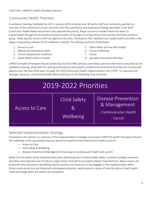# Community Health Priorities

A validation meeting, facilitated by LPHI in January 2019, provided over 40 facility staff and community partners an overview of the community's major concerns from the quantitative and qualitative findings described in the 2019 Community Health Needs Assessment (see separate document). Major concerns included those that were (1) substantiated through the quantitative analysis and/or (2) brought up at least three times during interviews and focus group. These specific concerns fell into eight priority areas. Participants then validated and ranked health priorities in the region using polling software at the validation meeting. The ranking results are listed below:

- 1. Access to care
- 2. Mental and behavioral health
- 3. Chronic disease and conditions
- 4. Social determinants of health
- 5. Infant death and low birth weight
- 6. Human trafficking
- 7. Cancer
- 8. Sexually transmitted infections

CHRISTUS Health Shreveport-Bossier leadership and the CHNA advisory committee used the information presented at the validation meeting, along with the ranking conducted by participants, to determine three focal priorities the ministry will address over the next three years through the 2019 Community Health Implementation Plan (CHIP). To maximize and leverage resources, community benefit efforts will focus on the following three priorities:

# 2019-2022 Priorities Access to Care Child Safety  $\mathcal{R}_{\mathcal{L}}$ Wellbeing Disease Prevention & Management - Cardiovasuclar Health - Cancer

#### Selected Implementation Strategy

Presented in this section is a summary of the implementation strategies and actions CHRISTUS Health Shreveport-Bossier will undertake in the upcoming three-year period to respond to the three priority health issues of:

- Access to Care
- Child Safety & Wellbeing
- Disease Prevention & Management (focusing on cardiovascular health and cancer)

Below are the details of the implementation plan addressing each of these health needs. A priority strategy statement describes each objective and introduces major actions that will be pursued to deliver improvements. Major actions are presented with sub-actions identifying specific partners and resources to be engaged in the implementation effort. Actions and sub-actions are linked with anticipated outcomes, which present a vision of how the status of each health need will change when the actions are completed.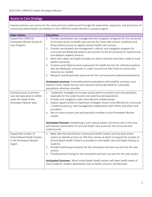# Access to Care Strategy

Improve primary care access for the uninsured and underinsured through the exploration, expansion, and promotion of community-based health care delivery in the CHRISTUS Health Northern Louisiana region.

| <b>Major Actions</b>                                                                                             | Sub-actions                                                                                                                                                                                                                                                                                                                                                                                                                                                                                                                                                                                                                                                                                                                                                                                                                                                                                                                                                                                                                                              |
|------------------------------------------------------------------------------------------------------------------|----------------------------------------------------------------------------------------------------------------------------------------------------------------------------------------------------------------------------------------------------------------------------------------------------------------------------------------------------------------------------------------------------------------------------------------------------------------------------------------------------------------------------------------------------------------------------------------------------------------------------------------------------------------------------------------------------------------------------------------------------------------------------------------------------------------------------------------------------------------------------------------------------------------------------------------------------------------------------------------------------------------------------------------------------------|
| Expand the CHRISTUS<br>Shreveport-Bossier Equity of<br>Care Program                                              | 1. Provide coordinated care management and navigation programs for the uninsured<br>to increase access to health care services for those with chronic conditions and<br>those without access to regular primary health care services<br>Provide coordinated care management, referral, and navigation program for<br>2.<br>uninsured and Medicaid patients who present to the ED primarily for hypertension<br>and diabetes related concerns<br>Work with safety net health providers to whom referrals have been made to track<br>3.<br>patient outcomes<br>Conduct social determinants assessment for health barriers for individual patients<br>4.<br>who are Medicaid, uninsured, or under-insured and refer them to community<br>resources as needed<br>5. Research and disseminate resources for the uninsured and underinsured patients.<br>Anticipated outcomes: Vulnerable patient populations will establish a primary care<br>medical home. Health barriers and solutions will be identified for vulnerable<br>populations wherever possible. |
| Increase access to primary<br>care and specialists to better<br>meet the needs of the<br>Shreveport-Bossier area | Implement strategies to increase access points to primary care and specialists,<br>1.<br>especially for the underinsured and underinsured populations<br>Provide care navigation, both internally and collaboratively<br>2.<br>Explore opportunities to implement strategies shown to be effective for uninsured<br>3.<br>/ underinsured (e.g. case management collaboration with FQHCs and other local<br>providers)<br>Recruit more primary care and specialist providers to the Shreveport-Bossier<br>4.<br>market<br>Anticipated Outcome: Establishing a more robust system of primary care in the area<br>will improve coordination of care and health care access for the uninsured and<br>underinsured.                                                                                                                                                                                                                                                                                                                                           |
| Expand the number of<br>School-Based Health Centers<br>in the Shreveport-Bossier<br>region                       | Meet with the David Raines Community Health Centers and the local school<br>1.<br>system to identify at least six Title One schools at which to expand the number of<br>School-Based Health Centers to provide on-site health care and health literacy to<br>students.<br>Provide fundraising assistance for the renovation and start-up costs for the new<br>2.<br>centers<br>Provide partial funding for the renovation and start-up costs for the new centers<br>3.<br>Anticipated Outcomes: More school-based health centers will meet health needs of<br>more students; student absenteeism due to health concerns will decrease.                                                                                                                                                                                                                                                                                                                                                                                                                   |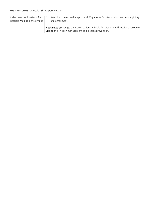| Refer uninsured patients for | Refer both uninsured hospital and ED patients for Medicaid assessment eligibility                                                                  |
|------------------------------|----------------------------------------------------------------------------------------------------------------------------------------------------|
| possible Medicaid enrollment | and enrollment.                                                                                                                                    |
|                              | Anticipated outcomes: Uninsured patients eligible for Medicaid will receive a resource<br>vital to their health management and disease prevention. |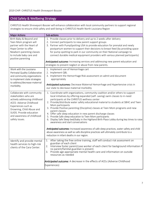# Child Safety & Wellbeing Strategy

CHRISTUS Health Shreveport-Bossier will enhance collaboration with local community partners to support regional strategies to ensure child safety and well-being in CHRISTUS Health North Louisiana Region

| <b>Major Actions</b>                                                                                                                                                                                                                           | Sub-actions                                                                                                                                                                                                                                                                                                                                                                                                                                                                                                                                                                                                                                                                                                                                                                                                                                                                                                                        |
|------------------------------------------------------------------------------------------------------------------------------------------------------------------------------------------------------------------------------------------------|------------------------------------------------------------------------------------------------------------------------------------------------------------------------------------------------------------------------------------------------------------------------------------------------------------------------------------------------------------------------------------------------------------------------------------------------------------------------------------------------------------------------------------------------------------------------------------------------------------------------------------------------------------------------------------------------------------------------------------------------------------------------------------------------------------------------------------------------------------------------------------------------------------------------------------|
| Birth Baby & Beyond and<br>Teen Mom program will<br>partner with the Heart of<br>Hope Center to offer<br>Newborn parenting classes<br>to include baby care and<br>positive parenting                                                           | 1. Provide classes prior to delivery and up to 2 weeks after delivery<br>2. Connect participants to new parent support groups<br>3. Partner with PumpSpotting USA to provide education for prenatal and newly<br>postpartum women to support their decisions to breast feed (by providing space<br>for pump spotting to park in our community on their National campaign to<br>connect durable medical equipment providers with various planned participants)<br>Anticipated outcome: Increasing services and addressing new parent education and<br>strategies to prevent neglect or abuse from new parents.                                                                                                                                                                                                                                                                                                                      |
| Work with the Louisiana<br>Perinatal Quality Collaborative<br>and community organizations<br>to implement state strategies<br>to address/decrease maternal<br>morbidity.                                                                       | 1. Implement use of Hemorrhage cart<br>2. Implement QBL<br>3. Implement the Hemorrhage Risk assessment on admit and document<br>appropriately<br>Anticipated outcomes: Decrease Maternal Hemorrhage and Hypertensive crisis in<br>our state to decrease maternal morbidity                                                                                                                                                                                                                                                                                                                                                                                                                                                                                                                                                                                                                                                         |
| Collaborate with community<br>stakeholders who are<br>actively addressing childhood<br>ACES- Adverse Childhood<br>Experiences such as<br>Drowning, Child Abuse and<br>SUIDS. Provide education<br>and awareness of childhood<br>safety issues. | 1. Coordinate with organizations, community coalition and/or others to support<br>local initiatives by offering expanded (self-saving) swim classes to in-need<br>participants at the CHRISTUS wellness center<br>2. Provide/distribute water safety educational material to students at SBHC and Teen<br>Mom participants<br>3. Provide Positive parenting (Discipline) classes at Teen Mom programs and new<br>parent classes.<br>4. Offer safe sleep education in new parent discharge classes<br>5. Provide Safe sleep education to Teen Mom participants<br>6. Display Safe Sleep bed/baby in the Highland Birth Place Lobby during key times to raise<br>awareness and start conversations<br>Anticipated outcomes: Increased awareness of safe sleep practices, water safety and child<br>abuse awareness as well as safe discipline practices will ultimately contribute to a<br>reduction in infant deaths in our region. |
| Identify and provide mental<br>health services to high-risk<br>clients of the Cara Center.                                                                                                                                                     | After taking the free online training, staff will conduct risk assessment on<br>1.<br>guardian of each client<br>Interview foster parent/case worker of each client for background information if<br>no parent/familial guardian is present.<br>3. Provide age-appropriate mental health care and information on outside<br>resources as needed<br>Anticipated outcome: A decrease in the effects of ACEs (Adverse Childhood<br>Experiences)                                                                                                                                                                                                                                                                                                                                                                                                                                                                                       |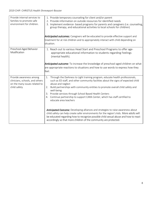| Provide internal services to<br>families to promote safe<br>environment for children.                       | 1. Provide temporary counseling for client and/or parent<br>2. Provide information on outside resources for identified needs<br>3. Implement evidence- based programs for parents and caregivers (i.e. counseling,<br>group therapy, and educational activities to local schools for children)<br><b>Anticipated outcomes:</b> Caregivers will be educated to provide effective support and<br>treatment for at risk children and to appropriately interact with child depending on<br>situation.                                                                                                                                                                                                                                                                                                                 |
|-------------------------------------------------------------------------------------------------------------|-------------------------------------------------------------------------------------------------------------------------------------------------------------------------------------------------------------------------------------------------------------------------------------------------------------------------------------------------------------------------------------------------------------------------------------------------------------------------------------------------------------------------------------------------------------------------------------------------------------------------------------------------------------------------------------------------------------------------------------------------------------------------------------------------------------------|
| Preschool-Aged Behavior<br>Modification                                                                     | 1. Reach out to various Head Start and Preschool Programs to offer age-<br>appropriate educational information to students regarding Feelings<br>(mental health).<br>Anticipated outcome: To increase the knowledge of preschool-aged children on what<br>are appropriate reactions to situations and how to use words to express how they<br>feel.                                                                                                                                                                                                                                                                                                                                                                                                                                                               |
| Provide awareness among<br>clinicians, schools, and others<br>on the many issues related to<br>child safety | Through the Darkness to Light training program, educate health professionals,<br>1.<br>such as ED staff, and other community facilities about the signs of expected child<br>abuse and neglect<br>2. Build partnerships with community entities to promote overall child safety and<br>well-being<br>3. Provide services through School Based Health Centers<br>4. Continue partnership to support CARA Center, which has staff certified to<br>educate area teachers<br>Anticipated Outcome: Developing alliances and strategies to raise awareness about<br>child safety can help create safer environments for the region's kids. More adults will<br>be educated regarding how to recognize possible child sexual abuse and how to react<br>accordingly so that more children of the community are protected. |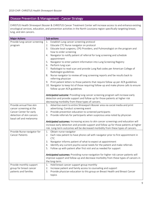#### Disease Prevention & Management - Cancer Strategy

CHRISTUS Health Shreveport Bossier & CHRISTUS Cancer Treatment Center will increase access to and enhance existing oncological services, education, and prevention activities in the North Louisiana region specifically targeting breast, lung, and skin cancers.

| <b>Major Actions</b>          | Sub-actions                                                                                               |
|-------------------------------|-----------------------------------------------------------------------------------------------------------|
| Provide lung cancer screening | Establish Lung cancer screening protocol<br>1.                                                            |
| program                       | Educate CTC Nurse navigator on protocol<br>2.                                                             |
|                               | Educate local surgeons, CPG Providers, and Pulmonologist on the program and<br>3.                         |
|                               | how to order screening                                                                                    |
|                               | Navigator to notify patient of referral for lung screening and schedule<br>4.                             |
|                               | appointment                                                                                               |
|                               | Navigator to enter patient information into Lung Screening Registry<br>5.<br>6. Perform lung scan         |
|                               | 7. Radiologist to read scan and provide Lung Rad codes per American College of                            |
|                               | Radiologist guidelines                                                                                    |
|                               | Nurse navigator to review all lung screening reports and fax results back to<br>8.<br>referring physician |
|                               | Print patient letters to those patients that require follow up per ACR guidelines<br>9.                   |
|                               | 10. Navigator to keep list of those requiring follow-up and make phone calls to ensure                    |
|                               | follow up per ACR guidelines                                                                              |
|                               | Anticipated outcome: Providing lung cancer screening program will increase early                          |
|                               | detection and provide support and follow up for those patients at higher risk                             |
|                               | decreasing morbidity from these types of cancers.                                                         |
| Provide annual free skin      | Advertise event to entire Shreveport-Bossier area via social media and print<br>1.                        |
| cancer screening at the       | advertising; Conduct screening event                                                                      |
| Cancer Center for early       | Provide prevention education to screened participants<br>2.                                               |
| detection of skin cancers     | 3. Provide referrals for participants when suspicious area noted by physician                             |
| basal cell and melanoma       |                                                                                                           |
|                               | Anticipated outcomes: Increasing access to skin cancer screenings and education will                      |
|                               | increase early detection and provide support and follow up for those patients at higher                   |
|                               | risk. Long-term outcomes will be decreased morbidity from these types of cancers.                         |
| Provide Nurse navigator for   | 1. Obtain nurse navigator                                                                                 |
| <b>Cancer Patients</b>        | 2. Each new patient to have phone call with navigator prior to first appointment in<br><b>CTC</b>         |
|                               | Navigator informs patient of what to expect at appointment<br>3.                                          |
|                               | 4. Identify any current psycho-social needs for the patient and make referrals                            |
|                               | 5. Follow up with patient after first visit and as needed for support                                     |
|                               | Anticipated outcomes: Providing nurse navigation for higher risk cancer patients will                     |
|                               | improve support and follow-up and decrease morbidity from these types of cancers in                       |
|                               | the long-term.                                                                                            |
| Provide monthly support       | Hold breast cancer support group monthly<br>1.                                                            |
| group for breast cancer       | Increase patient and family access to counseling and support<br>2.                                        |
| patients and families         | Provide physician education to this group on Breast Health and Breast Cancer<br>3.                        |
|                               | topics                                                                                                    |
|                               |                                                                                                           |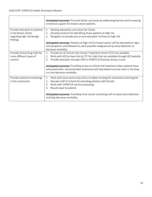$\blacksquare$ 

|                                                                                                 | <b>Anticipated outcomes:</b> Promote better outcomes by addressing barriers and increasing<br>emotional support for breast cancer patients.                                                                                                                                      |
|-------------------------------------------------------------------------------------------------|----------------------------------------------------------------------------------------------------------------------------------------------------------------------------------------------------------------------------------------------------------------------------------|
| Provide education to patients<br>in the Breast Center<br>regarding high-risk benign<br>findings | Develop education curriculum for Center<br>1.<br>Develop protocol for identifying those patients at high risk<br>2.<br>Navigator to provide one on one education to those at high risk<br>3.                                                                                     |
|                                                                                                 | <b>Anticipated outcomes:</b> Patients at high risk for breast cancer will be educated on signs<br>and symptoms and followed to catch possible malignancies by early detection to<br>decrease morbidity                                                                           |
| Provide clinical drug trials for<br>many different types of<br>cancers                          | Provide list of clinical trials Cancer Treatment Center (CTC) has available<br>1 <sub>1</sub><br>Work with ACS to have link to CTC for trials that are available through ACS website<br>2 <sub>1</sub><br>Provide education through CNE to CHRISTUS Physician Group nurses<br>3. |
|                                                                                                 | <b>Anticipated outcomes:</b> Providing access to clinical trial treatment when patients have<br>exhausted other recommended treatments will help extend survival rates in the long-<br>run and decrease morbidity.                                                               |
| Provide colorectal screenings<br>in the community                                               | Work with local community clinics to obtain funding for colorectal screening kits<br>1.<br>Educate staff of criteria for providing patients with the kits<br>2.<br>Work with CHRISTUS Lab for processing<br>3.<br>Results back to patients<br>4.                                 |
|                                                                                                 | Anticipated outcomes: Providing more cancer screenings will increase early detection<br>and help decrease morbidity.                                                                                                                                                             |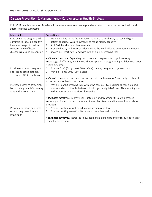# Disease Prevention & Management – Cardiovascular Health Strategy

CHRISTUS Health Shreveport Bossier will improve access to screenings and education to improve cardiac health and address disease symptoms.

| <b>Major Actions</b>          | Sub-actions                                                                                                                                                                 |
|-------------------------------|-----------------------------------------------------------------------------------------------------------------------------------------------------------------------------|
| Cardiac Rehab programs will   | Expand cardiac rehab facility space and exercise machinery to reach a higher<br>1.                                                                                          |
| continue to focus on healthy  | patient capacity. We are currently at rehab facility capacity.                                                                                                              |
| lifestyle changes to reduce   | Add Peripheral artery disease rehab<br>2.                                                                                                                                   |
| re-occurrence of heart        | Provide dietary and exercise education at the HealthPlex to community members<br>3.                                                                                         |
| disease issues and prevention | Know Your Heart Age TV ad with info on online screening tool<br>4.                                                                                                          |
|                               | <b>Anticipated outcome:</b> Expanding cardiovascular program offerings, increasing<br>knowledge of offerings, and increased participation in programming will decrease poor |
|                               | health outcomes.                                                                                                                                                            |
| Provide education programs    | Provide EHAC (Early Heart Attack Care) training programs to general public<br>1.                                                                                            |
| addressing acute coronary     | Provide "Hands Only" CPR classes<br>2.                                                                                                                                      |
| syndrome (ACS) symptoms       |                                                                                                                                                                             |
|                               | Anticipated outcomes: Increased knowledge of symptoms of ACS and early treatments                                                                                           |
|                               | to decrease poor health outcomes.                                                                                                                                           |
| Increase access to screenings | Provide Health Screening fairs within the community, including checks on blood<br>1.                                                                                        |
| by providing Health Screening | pressure, diet, Lipids/cholesterol, blood sugar, weight/BMI, and ABI screenings, as                                                                                         |
| fairs within community        | well as education on nutrition & exercise.                                                                                                                                  |
|                               |                                                                                                                                                                             |
|                               | Anticipated outcomes: Improve early detection and treatment through increased                                                                                               |
|                               | knowledge of one's risk factors for cardiovascular disease and increased referrals to                                                                                       |
|                               | providers.                                                                                                                                                                  |
| Provide education and tools   | Provide smoking cessation education sessions and tools<br>1.                                                                                                                |
| on smoking cessation and      | Provide smoking cessation literature to in-patients who smoke<br>2.                                                                                                         |
| prevention                    |                                                                                                                                                                             |
|                               | Anticipated outcomes: Increased knowledge of smoking risks and of resources to assist                                                                                       |
|                               | in smoking cessation                                                                                                                                                        |